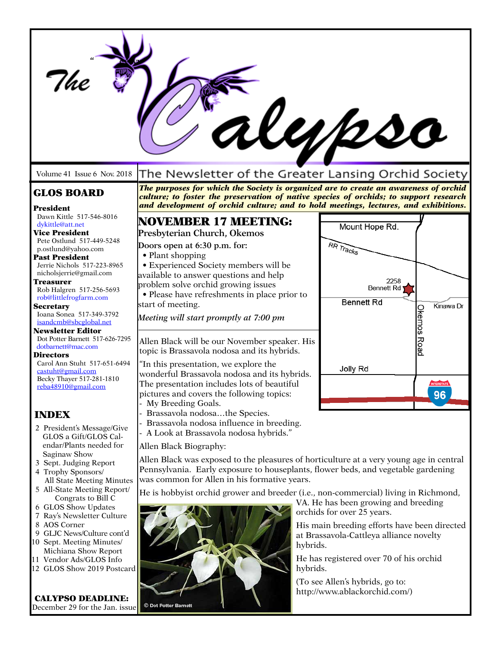|                                                                                                                                                                                                                                                            |                                                                                                                                                                                                                                                                                   | rl <i>ep</i> pso                                                                                                                               |  |  |
|------------------------------------------------------------------------------------------------------------------------------------------------------------------------------------------------------------------------------------------------------------|-----------------------------------------------------------------------------------------------------------------------------------------------------------------------------------------------------------------------------------------------------------------------------------|------------------------------------------------------------------------------------------------------------------------------------------------|--|--|
| Volume 41 Issue 6 Nov. 2018                                                                                                                                                                                                                                |                                                                                                                                                                                                                                                                                   | The Newsletter of the Greater Lansing Orchid Society                                                                                           |  |  |
| <b>GLOS BOARD</b><br>President                                                                                                                                                                                                                             | The purposes for which the Society is organized are to create an awareness of orchid<br>culture; to foster the preservation of native species of orchids; to support research<br>and development of orchid culture; and to hold meetings, lectures, and exhibitions.              |                                                                                                                                                |  |  |
| Dawn Kittle 517-546-8016<br>dvkittle@att.net                                                                                                                                                                                                               | <b>NOVEMBER 17 MEETING:</b><br>Presbyterian Church, Okemos                                                                                                                                                                                                                        | Mount Hope Rd.                                                                                                                                 |  |  |
| <b>Vice President</b><br>Pete Ostlund 517-449-5248<br>p.ostlund@yahoo.com<br><b>Past President</b><br>Jerrie Nichols 517-223-8965<br>nicholsjerrie@gmail.com<br><b>Treasurer</b><br>Rob Halgren 517-256-5693<br>rob@littlefrogfarm.com<br><b>Secretary</b> | Doors open at 6:30 p.m. for:<br>• Plant shopping<br>· Experienced Society members will be<br>available to answer questions and help<br>problem solve orchid growing issues<br>• Please have refreshments in place prior to<br>start of meeting.                                   | RR Tracks<br>2258<br><b>Bennett Rd</b><br><b>Bennett Rd</b><br>Kinawa Dr                                                                       |  |  |
| Ioana Sonea 517-349-3792<br>isandcmb@sbcglobal.net<br><b>Newsletter Editor</b>                                                                                                                                                                             | Meeting will start promptly at 7:00 pm                                                                                                                                                                                                                                            | Okemos Road                                                                                                                                    |  |  |
| Dot Potter Barnett 517-626-7295<br>dotbarnett@mac.com<br><b>Directors</b><br>Carol Ann Stuht 517-651-6494<br>castuht@gmail.com<br>Becky Thayer 517-281-1810<br>reba48910@gmail.com                                                                         | Allen Black will be our November speaker. His<br>topic is Brassavola nodosa and its hybrids.<br>"In this presentation, we explore the<br>wonderful Brassavola nodosa and its hybrids.<br>The presentation includes lots of beautiful<br>pictures and covers the following topics: | <b>Jolly Rd</b><br><b>INTERSTATE</b><br>96                                                                                                     |  |  |
| <b>INDEX</b><br>2 President's Message/Give                                                                                                                                                                                                                 | - My Breeding Goals.<br>- Brassavola nodosathe Species.<br>- Brassavola nodosa influence in breeding.<br>- A Look at Brassavola nodosa hybrids."<br>GLOS a Gift/GLOS Cal-<br>Allen Black Biography:                                                                               |                                                                                                                                                |  |  |
| endar/Plants needed for                                                                                                                                                                                                                                    |                                                                                                                                                                                                                                                                                   |                                                                                                                                                |  |  |
| Saginaw Show<br>3 Sept. Judging Report<br>4 Trophy Sponsors/<br>All State Meeting Minutes                                                                                                                                                                  | Allen Black was exposed to the pleasures of horticulture at a very young age in central<br>Pennsylvania. Early exposure to houseplants, flower beds, and vegetable gardening<br>was common for Allen in his formative years.                                                      |                                                                                                                                                |  |  |
| 5 All-State Meeting Report/<br>Congrats to Bill C<br>6 GLOS Show Updates                                                                                                                                                                                   | He is hobbyist orchid grower and breeder (i.e., non-commercial) living in Richmond,<br>VA. He has been growing and breeding<br>orchids for over 25 years.                                                                                                                         |                                                                                                                                                |  |  |
| 7 Ray's Newsletter Culture<br>8 AOS Corner<br>9 GLJC News/Culture cont'd<br>10 Sept. Meeting Minutes/<br>Michiana Show Report<br>11 Vendor Ads/GLOS Info<br>12 GLOS Show 2019 Postcard                                                                     |                                                                                                                                                                                                                                                                                   | His main breeding efforts have been directed<br>at Brassavola-Cattleya alliance novelty<br>hybrids.<br>He has registered over 70 of his orchid |  |  |
|                                                                                                                                                                                                                                                            |                                                                                                                                                                                                                                                                                   | hybrids.<br>(To see Allen's hybrids, go to:<br>http://www.ablackorchid.com/)                                                                   |  |  |
| <b>CALYPSO DEADLINE:</b><br>December 29 for the Jan. issue                                                                                                                                                                                                 | © Dot Potter Barnett                                                                                                                                                                                                                                                              |                                                                                                                                                |  |  |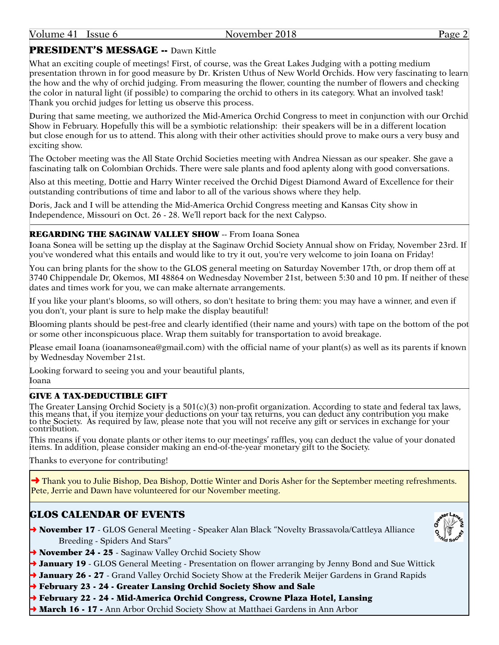## PRESIDENT'S MESSAGE -- Dawn Kittle

What an exciting couple of meetings! First, of course, was the Great Lakes Judging with a potting medium presentation thrown in for good measure by Dr. Kristen Uthus of New World Orchids. How very fascinating to learn the how and the why of orchid judging. From measuring the flower, counting the number of flowers and checking the color in natural light (if possible) to comparing the orchid to others in its category. What an involved task! Thank you orchid judges for letting us observe this process.

During that same meeting, we authorized the Mid-America Orchid Congress to meet in conjunction with our Orchid Show in February. Hopefully this will be a symbiotic relationship: their speakers will be in a different location but close enough for us to attend. This along with their other activities should prove to make ours a very busy and exciting show.

The October meeting was the All State Orchid Societies meeting with Andrea Niessan as our speaker. She gave a fascinating talk on Colombian Orchids. There were sale plants and food aplenty along with good conversations.

Also at this meeting, Dottie and Harry Winter received the Orchid Digest Diamond Award of Excellence for their outstanding contributions of time and labor to all of the various shows where they help.

Doris, Jack and I will be attending the Mid-America Orchid Congress meeting and Kansas City show in Independence, Missouri on Oct. 26 - 28. We'll report back for the next Calypso.

## REGARDING THE SAGINAW VALLEY SHOW -- From Ioana Sonea

Ioana Sonea will be setting up the display at the Saginaw Orchid Society Annual show on Friday, November 23rd. If you've wondered what this entails and would like to try it out, you're very welcome to join Ioana on Friday!

You can bring plants for the show to the GLOS general meeting on Saturday November 17th, or drop them off at 3740 Chippendale Dr, Okemos, MI 48864 on Wednesday November 21st, between 5:30 and 10 pm. If neither of these dates and times work for you, we can make alternate arrangements.

If you like your plant's blooms, so will others, so don't hesitate to bring them: you may have a winner, and even if you don't, your plant is sure to help make the display beautiful!

Blooming plants should be pest-free and clearly identified (their name and yours) with tape on the bottom of the pot or some other inconspicuous place. Wrap them suitably for transportation to avoid breakage.

Please email Ioana (ioanamsonea@gmail.com) with the official name of your plant(s) as well as its parents if known by Wednesday November 21st.

Looking forward to seeing you and your beautiful plants, Ioana

## GIVE A TAX-DEDUCTIBLE GIFT

The Greater Lansing Orchid Society is a 501(c)(3) non-profit organization. According to state and federal tax laws, this means that, if you itemize your deductions on your tax returns, you can deduct any contribution you make to the Society. As required by law, please note that you will not receive any gift or services in exchange for your contribution.

This means if you donate plants or other items to our meetings' raffles, you can deduct the value of your donated items. In addition, please consider making an end-of-the-year monetary gift to the Society.

Thanks to everyone for contributing!

**→ Thank you to Julie Bishop, Dea Bishop, Dottie Winter and Doris Asher for the September meeting refreshments.** Pete, Jerrie and Dawn have volunteered for our November meeting.

## GLOS CALENDAR OF EVENTS

→ November 17 - GLOS General Meeting - Speaker Alan Black "Novelty Brassavola/Cattleya Alliance Breeding - Spiders And Stars"



- → November 24 25 Saginaw Valley Orchid Society Show
- → January 19 GLOS General Meeting Presentation on flower arranging by Jenny Bond and Sue Wittick
- → January 26 27 Grand Valley Orchid Society Show at the Frederik Meijer Gardens in Grand Rapids
- ➜ February 23 24 Greater Lansing Orchid Society Show and Sale
- ➜ February 22 24 Mid-America Orchid Congress, Crowne Plaza Hotel, Lansing
- ◆ March 16 17 Ann Arbor Orchid Society Show at Matthaei Gardens in Ann Arbor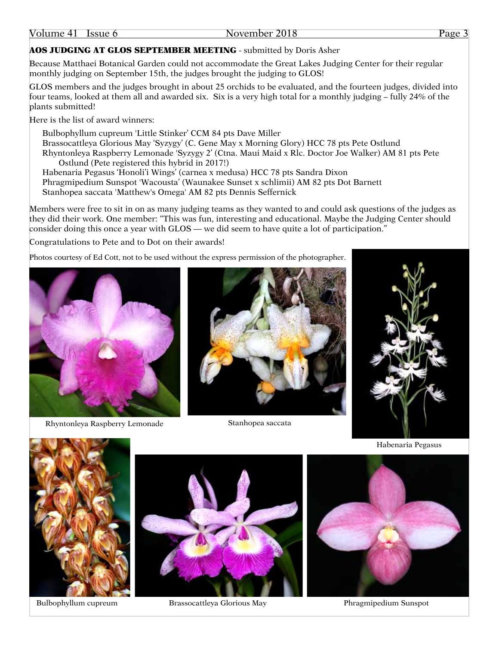## AOS JUDGING AT GLOS SEPTEMBER MEETING - submitted by Doris Asher

Because Matthaei Botanical Garden could not accommodate the Great Lakes Judging Center for their regular monthly judging on September 15th, the judges brought the judging to GLOS!

GLOS members and the judges brought in about 25 orchids to be evaluated, and the fourteen judges, divided into four teams, looked at them all and awarded six. Six is a very high total for a monthly judging – fully 24% of the plants submitted!

Here is the list of award winners:

Bulbophyllum cupreum 'Little Stinker' CCM 84 pts Dave Miller Brassocattleya Glorious May 'Syzygy' (C. Gene May x Morning Glory) HCC 78 pts Pete Ostlund Rhyntonleya Raspberry Lemonade 'Syzygy 2' (Ctna. Maui Maid x Rlc. Doctor Joe Walker) AM 81 pts Pete Ostlund (Pete registered this hybrid in 2017!)

Habenaria Pegasus 'Honoli'i Wings' (carnea x medusa) HCC 78 pts Sandra Dixon Phragmipedium Sunspot 'Wacousta' (Waunakee Sunset x schlimii) AM 82 pts Dot Barnett Stanhopea saccata 'Matthew's Omega' AM 82 pts Dennis Seffernick

Members were free to sit in on as many judging teams as they wanted to and could ask questions of the judges as they did their work. One member: "This was fun, interesting and educational. Maybe the Judging Center should consider doing this once a year with GLOS — we did seem to have quite a lot of participation."

Congratulations to Pete and to Dot on their awards!

Photos courtesy of Ed Cott, not to be used without the express permission of the photographer.



Rhyntonleya Raspberry Lemonade Stanhopea saccata







Habenaria Pegasus





Bulbophyllum cupreum Brassocattleya Glorious May



Phragmipedium Sunspot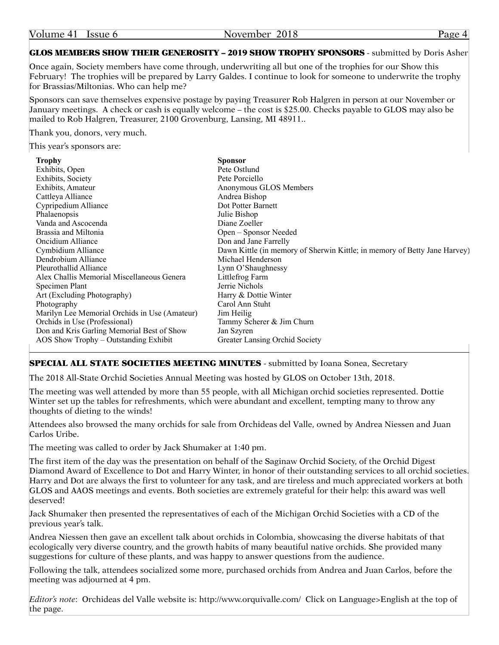| Volume 41 | Issue 6 |
|-----------|---------|
|-----------|---------|

November 2018 Page 4

## GLOS MEMBERS SHOW THEIR GENEROSITY – 2019 SHOW TROPHY SPONSORS - submitted by Doris Asher

Once again, Society members have come through, underwriting all but one of the trophies for our Show this February! The trophies will be prepared by Larry Galdes. I continue to look for someone to underwrite the trophy for Brassias/Miltonias. Who can help me?

Sponsors can save themselves expensive postage by paying Treasurer Rob Halgren in person at our November or January meetings. A check or cash is equally welcome – the cost is \$25.00. Checks payable to GLOS may also be mailed to Rob Halgren, Treasurer, 2100 Grovenburg, Lansing, MI 48911..

Thank you, donors, very much.

This year's sponsors are:

| <b>Trophy</b>                                 | <b>Sponsor</b>                                                            |
|-----------------------------------------------|---------------------------------------------------------------------------|
| Exhibits, Open                                | Pete Ostlund                                                              |
| Exhibits, Society                             | Pete Porciello                                                            |
| Exhibits, Amateur                             | Anonymous GLOS Members                                                    |
| Cattleya Alliance                             | Andrea Bishop                                                             |
| Cypripedium Alliance                          | Dot Potter Barnett                                                        |
| Phalaenopsis                                  | Julie Bishop                                                              |
| Vanda and Ascocenda                           | Diane Zoeller                                                             |
| Brassia and Miltonia                          | Open – Sponsor Needed                                                     |
| Oncidium Alliance                             | Don and Jane Farrelly                                                     |
| Cymbidium Alliance                            | Dawn Kittle (in memory of Sherwin Kittle; in memory of Betty Jane Harvey) |
| Dendrobium Alliance                           | Michael Henderson                                                         |
| Pleurothallid Alliance                        | Lynn O'Shaughnessy                                                        |
| Alex Challis Memorial Miscellaneous Genera    | Littlefrog Farm                                                           |
| Specimen Plant                                | Jerrie Nichols                                                            |
| Art (Excluding Photography)                   | Harry & Dottie Winter                                                     |
| Photography                                   | Carol Ann Stuht                                                           |
| Marilyn Lee Memorial Orchids in Use (Amateur) | Jim Heilig                                                                |
| Orchids in Use (Professional)                 | Tammy Scherer & Jim Churn                                                 |
| Don and Kris Garling Memorial Best of Show    | Jan Szyren                                                                |
| AOS Show Trophy – Outstanding Exhibit         | Greater Lansing Orchid Society                                            |

## **SPECIAL ALL STATE SOCIETIES MEETING MINUTES - submitted by Ioana Sonea, Secretary**

The 2018 All-State Orchid Societies Annual Meeting was hosted by GLOS on October 13th, 2018.

The meeting was well attended by more than 55 people, with all Michigan orchid societies represented. Dottie Winter set up the tables for refreshments, which were abundant and excellent, tempting many to throw any thoughts of dieting to the winds!

Attendees also browsed the many orchids for sale from Orchideas del Valle, owned by Andrea Niessen and Juan Carlos Uribe.

The meeting was called to order by Jack Shumaker at 1:40 pm.

The first item of the day was the presentation on behalf of the Saginaw Orchid Society, of the Orchid Digest Diamond Award of Excellence to Dot and Harry Winter, in honor of their outstanding services to all orchid societies. Harry and Dot are always the first to volunteer for any task, and are tireless and much appreciated workers at both GLOS and AAOS meetings and events. Both societies are extremely grateful for their help: this award was well deserved!

Jack Shumaker then presented the representatives of each of the Michigan Orchid Societies with a CD of the previous year's talk.

Andrea Niessen then gave an excellent talk about orchids in Colombia, showcasing the diverse habitats of that ecologically very diverse country, and the growth habits of many beautiful native orchids. She provided many suggestions for culture of these plants, and was happy to answer questions from the audience.

Following the talk, attendees socialized some more, purchased orchids from Andrea and Juan Carlos, before the meeting was adjourned at 4 pm.

*Editor's note*: Orchideas del Valle website is: http://www.orquivalle.com/ Click on Language>English at the top of the page.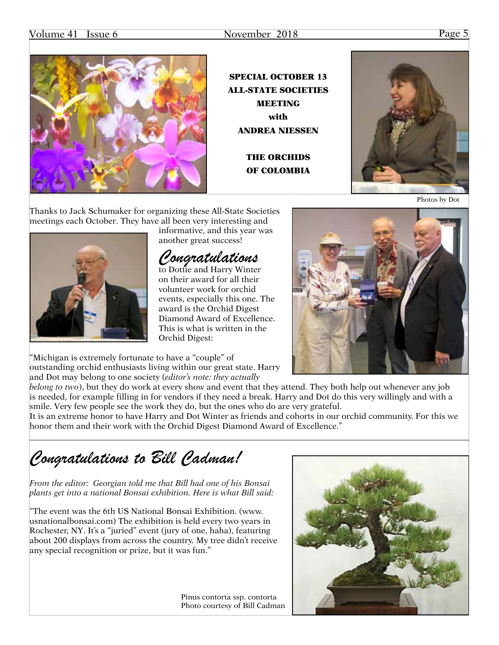## Volume 41 Issue 6 November 2018 Page 5



SPECIAL OCTOBER 13 ALL-STATE SOCIETIES MEETING with ANDREA NIESSEN

> THE ORCHIDS OF COLOMBIA



Photos by Dot

Thanks to Jack Schumaker for organizing these All-State Societies meetings each October. They have all been very interesting and



informative, and this year was another great success!

## *Congratulations*

to Dottie and Harry Winter on their award for all their volunteer work for orchid events, especially this one. The award is the Orchid Digest Diamond Award of Excellence. This is what is written in the Orchid Digest:

"Michigan is extremely fortunate to have a "couple" of outstanding orchid enthusiasts living within our great state. Harry and Dot may belong to one society (*editor's note: they actually* 

*belong to two*), but they do work at every show and event that they attend. They both help out whenever any job is needed, for example filling in for vendors if they need a break. Harry and Dot do this very willingly and with a smile. Very few people see the work they do, but the ones who do are very grateful.

It is an extreme honor to have Harry and Dot Winter as friends and cohorts in our orchid community. For this we honor them and their work with the Orchid Digest Diamond Award of Excellence."

*Congratulations to Bill Cadman!*

*From the editor: Georgian told me that Bill had one of his Bonsai plants get into a national Bonsai exhibition. Here is what Bill said:*

"The event was the 6th US National Bonsai Exhibition. (www. usnationalbonsai.com) The exhibition is held every two years in Rochester, NY. It's a "juried" event (jury of one, haha), featuring about 200 displays from across the country. My tree didn't receive any special recognition or prize, but it was fun."

> Pinus contorta ssp. contorta Photo courtesy of Bill Cadman

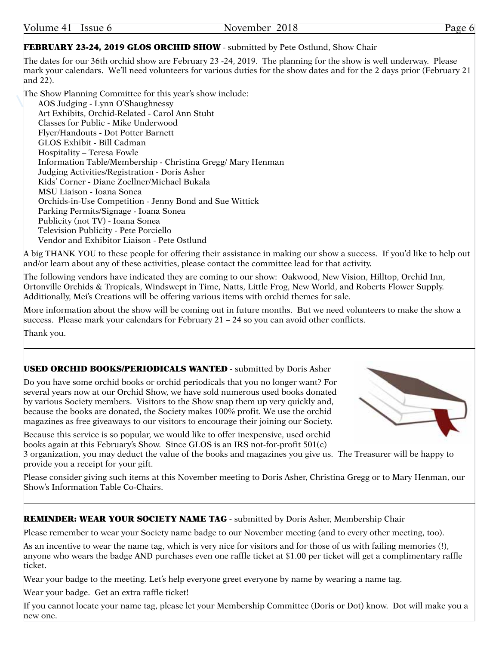## FEBRUARY 23-24, 2019 GLOS ORCHID SHOW - submitted by Pete Ostlund, Show Chair

The dates for our 36th orchid show are February 23 -24, 2019. The planning for the show is well underway. Please mark your calendars. We'll need volunteers for various duties for the show dates and for the 2 days prior (February 21 and 22).

The Show Planning Committee for this year's show include:

AOS Judging - Lynn O'Shaughnessy Art Exhibits, Orchid-Related - Carol Ann Stuht Classes for Public - Mike Underwood Flyer/Handouts - Dot Potter Barnett GLOS Exhibit - Bill Cadman Hospitality – Teresa Fowle Information Table/Membership - Christina Gregg/ Mary Henman Judging Activities/Registration - Doris Asher Kids' Corner - Diane Zoellner/Michael Bukala MSU Liaison - Ioana Sonea Orchids-in-Use Competition - Jenny Bond and Sue Wittick Parking Permits/Signage - Ioana Sonea Publicity (not TV) - Ioana Sonea Television Publicity - Pete Porciello Vendor and Exhibitor Liaison - Pete Ostlund

A big THANK YOU to these people for offering their assistance in making our show a success. If you'd like to help out and/or learn about any of these activities, please contact the committee lead for that activity.

The following vendors have indicated they are coming to our show: Oakwood, New Vision, Hilltop, Orchid Inn, Ortonville Orchids & Tropicals, Windswept in Time, Natts, Little Frog, New World, and Roberts Flower Supply. Additionally, Mei's Creations will be offering various items with orchid themes for sale.

More information about the show will be coming out in future months. But we need volunteers to make the show a success. Please mark your calendars for February  $21 - 24$  so you can avoid other conflicts.

Thank you.

## USED ORCHID BOOKS/PERIODICALS WANTED - submitted by Doris Asher

Do you have some orchid books or orchid periodicals that you no longer want? For several years now at our Orchid Show, we have sold numerous used books donated by various Society members. Visitors to the Show snap them up very quickly and, because the books are donated, the Society makes 100% profit. We use the orchid magazines as free giveaways to our visitors to encourage their joining our Society.

Because this service is so popular, we would like to offer inexpensive, used orchid books again at this February's Show. Since GLOS is an IRS not-for-profit 501(c)

3 organization, you may deduct the value of the books and magazines you give us. The Treasurer will be happy to provide you a receipt for your gift.

Please consider giving such items at this November meeting to Doris Asher, Christina Gregg or to Mary Henman, our Show's Information Table Co-Chairs.

## REMINDER: WEAR YOUR SOCIETY NAME TAG - submitted by Doris Asher, Membership Chair

Please remember to wear your Society name badge to our November meeting (and to every other meeting, too).

As an incentive to wear the name tag, which is very nice for visitors and for those of us with failing memories (!), anyone who wears the badge AND purchases even one raffle ticket at \$1.00 per ticket will get a complimentary raffle ticket.

Wear your badge to the meeting. Let's help everyone greet everyone by name by wearing a name tag.

Wear your badge. Get an extra raffle ticket!

If you cannot locate your name tag, please let your Membership Committee (Doris or Dot) know. Dot will make you a new one.



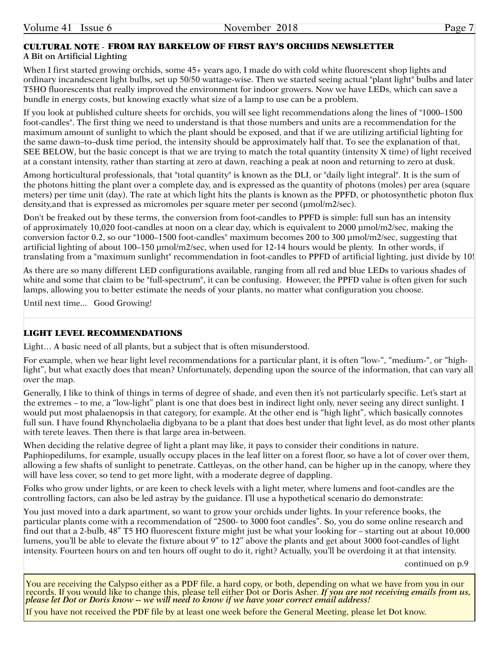## CULTURAL NOTE - FROM RAY BARKELOW OF FIRST RAY'S ORCHIDS NEWSLETTER**A Bit on Artificial Lighting**

When I first started growing orchids, some 45+ years ago, I made do with cold white fluorescent shop lights and ordinary incandescent light bulbs, set up 50/50 wattage-wise. Then we started seeing actual "plant light" bulbs and later T5HO fluorescents that really improved the environment for indoor growers. Now we have LEDs, which can save a bundle in energy costs, but knowing exactly what size of a lamp to use can be a problem.

If you look at published culture sheets for orchids, you will see light recommendations along the lines of "1000–1500 foot-candles". The first thing we need to understand is that those numbers and units are a recommendation for the maximum amount of sunlight to which the plant should be exposed, and that if we are utilizing artificial lighting for the same dawn–to–dusk time period, the intensity should be approximately half that. To see the explanation of that, SEE BELOW, but the basic concept is that we are trying to match the total quantity (intensity X time) of light received at a constant intensity, rather than starting at zero at dawn, reaching a peak at noon and returning to zero at dusk.

Among horticultural professionals, that "total quantity" is known as the DLI, or "daily light integral". It is the sum of the photons hitting the plant over a complete day, and is expressed as the quantity of photons (moles) per area (square meters) per time unit (day). The rate at which light hits the plants is known as the PPFD, or photosynthetic photon flux density,and that is expressed as micromoles per square meter per second (µmol/m2/sec).

Don't be freaked out by these terms, the conversion from foot-candles to PPFD is simple: full sun has an intensity of approximately 10,020 foot-candles at noon on a clear day, which is equivalent to 2000 µmol/m2/sec, making the conversion factor 0.2, so our "1000–1500 foot-candles" maximum becomes 200 to 300 µmol/m2/sec, suggesting that artificial lighting of about 100–150 µmol/m2/sec, when used for 12-14 hours would be plenty. In other words, if translating from a "maximum sunlight" recommendation in foot-candles to PPFD of artificial lighting, just divide by 10!

As there are so many different LED configurations available, ranging from all red and blue LEDs to various shades of white and some that claim to be "full-spectrum", it can be confusing. However, the PPFD value is often given for such lamps, allowing you to better estimate the needs of your plants, no matter what configuration you choose.

Until next time... Good Growing!

## LIGHT LEVEL RECOMMENDATIONS

Light... A basic need of all plants, but a subject that is often misunderstood.

For example, when we hear light level recommendations for a particular plant, it is often "low-", "medium-", or "highlight", but what exactly does that mean? Unfortunately, depending upon the source of the information, that can vary all over the map.

Generally, I like to think of things in terms of degree of shade, and even then it's not particularly specific. Let's start at the extremes – to me, a "low-light" plant is one that does best in indirect light only, never seeing any direct sunlight. I would put most phalaenopsis in that category, for example. At the other end is "high light", which basically connotes full sun. I have found Rhyncholaelia digbyana to be a plant that does best under that light level, as do most other plants with terete leaves. Then there is that large area in-between.

When deciding the relative degree of light a plant may like, it pays to consider their conditions in nature. Paphiopedilums, for example, usually occupy places in the leaf litter on a forest floor, so have a lot of cover over them, allowing a few shafts of sunlight to penetrate. Cattleyas, on the other hand, can be higher up in the canopy, where they will have less cover, so tend to get more light, with a moderate degree of dappling.

Folks who grow under lights, or are keen to check levels with a light meter, where lumens and foot-candles are the controlling factors, can also be led astray by the guidance. I'll use a hypothetical scenario do demonstrate:

You just moved into a dark apartment, so want to grow your orchids under lights. In your reference books, the particular plants come with a recommendation of "2500- to 3000 foot candles". So, you do some online research and find out that a 2-bulb, 48" T5 HO fluorescent fixture might just be what your looking for – starting out at about 10,000 lumens, you'll be able to elevate the fixture about 9" to 12" above the plants and get about 3000 foot-candles of light intensity. Fourteen hours on and ten hours off ought to do it, right? Actually, you'll be overdoing it at that intensity.

continued on p.9

You are receiving the Calypso either as a PDF file, a hard copy, or both, depending on what we have from you in our records. If you would like to change this, please tell either Dot or Doris Asher. If you are not receiving emails from us, *please let Dot or Doris know -- we will need to know if we have your correct email address!*

If you have not received the PDF file by at least one week before the General Meeting, please let Dot know.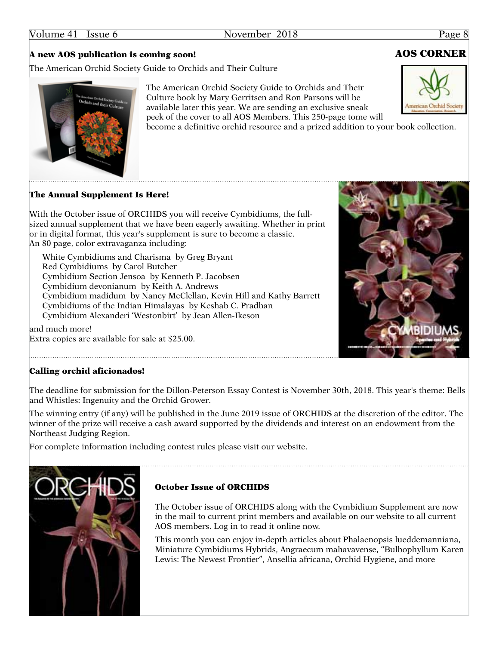## A new AOS publication is coming soon! AOS CORNER

The American Orchid Society Guide to Orchids and Their Culture

The American Orchid Society Guide to Orchids and Their Culture book by Mary Gerritsen and Ron Parsons will be available later this year. We are sending an exclusive sneak peek of the cover to all AOS Members. This 250-page tome will become a definitive orchid resource and a prized addition to your book collection.

The Annual Supplement Is Here!

With the October issue of ORCHIDS you will receive Cymbidiums, the fullsized annual supplement that we have been eagerly awaiting. Whether in print or in digital format, this year's supplement is sure to become a classic. An 80 page, color extravaganza including:

White Cymbidiums and Charisma by Greg Bryant Red Cymbidiums by Carol Butcher Cymbidium Section Jensoa by Kenneth P. Jacobsen Cymbidium devonianum by Keith A. Andrews Cymbidium madidum by Nancy McClellan, Kevin Hill and Kathy Barrett Cymbidiums of the Indian Himalayas by Keshab C. Pradhan Cymbidium Alexanderi 'Westonbirt' by Jean Allen-Ikeson

and much more! Extra copies are available for sale at \$25.00.

## The deadline for submission for the Dillon-Peterson Essay Contest is November 30th, 2018. This year's theme: Bells

Calling orchid aficionados!

and Whistles: Ingenuity and the Orchid Grower. The winning entry (if any) will be published in the June 2019 issue of ORCHIDS at the discretion of the editor. The

winner of the prize will receive a cash award supported by the dividends and interest on an endowment from the Northeast Judging Region.

For complete information including contest rules please visit our website.

## October Issue of ORCHIDS

The October issue of ORCHIDS along with the Cymbidium Supplement are now in the mail to current print members and available on our website to all current AOS members. Log in to read it online now.

This month you can enjoy in-depth articles about Phalaenopsis lueddemanniana, Miniature Cymbidiums Hybrids, Angraecum mahavavense, "Bulbophyllum Karen Lewis: The Newest Frontier", Ansellia africana, Orchid Hygiene, and more







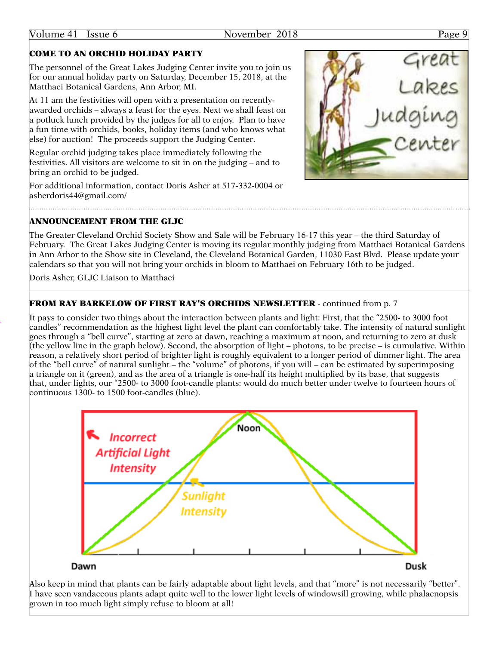## Volume 41 Issue 6 November 2018 Page 9

## COME TO AN ORCHID HOLIDAY PARTY

The personnel of the Great Lakes Judging Center invite you to join us for our annual holiday party on Saturday, December 15, 2018, at the Matthaei Botanical Gardens, Ann Arbor, MI.

At 11 am the festivities will open with a presentation on recentlyawarded orchids – always a feast for the eyes. Next we shall feast on a potluck lunch provided by the judges for all to enjoy. Plan to have a fun time with orchids, books, holiday items (and who knows what else) for auction! The proceeds support the Judging Center.

Regular orchid judging takes place immediately following the festivities. All visitors are welcome to sit in on the judging – and to bring an orchid to be judged.

For additional information, contact Doris Asher at 517-332-0004 or [asherdoris44@gmail.com/](mailto:asherdoris44@gmail.com)

## ANNOUNCEMENT FROM THE GLJC

The Greater Cleveland Orchid Society Show and Sale will be February 16-17 this year – the third Saturday of February. The Great Lakes Judging Center is moving its regular monthly judging from Matthaei Botanical Gardens in Ann Arbor to the Show site in Cleveland, the Cleveland Botanical Garden, 11030 East Blvd. Please update your calendars so that you will not bring your orchids in bloom to Matthaei on February 16th to be judged.

Doris Asher, GLJC Liaison to Matthaei

## FROM RAY BARKELOW OF FIRST RAY'S ORCHIDS NEWSLETTER - continued from p. 7

It pays to consider two things about the interaction between plants and light: First, that the "2500- to 3000 foot candles" recommendation as the highest light level the plant can comfortably take. The intensity of natural sunlight goes through a "bell curve", starting at zero at dawn, reaching a maximum at noon, and returning to zero at dusk (the yellow line in the graph below). Second, the absorption of light – photons, to be precise – is cumulative. Within reason, a relatively short period of brighter light is roughly equivalent to a longer period of dimmer light. The area of the "bell curve" of natural sunlight – the "volume" of photons, if you will – can be estimated by superimposing a triangle on it (green), and as the area of a triangle is one-half its height multiplied by its base, that suggests that, under lights, our "2500- to 3000 foot-candle plants: would do much better under twelve to fourteen hours of continuous 1300- to 1500 foot-candles (blue).





Dusk

Also keep in mind that plants can be fairly adaptable about light levels, and that "more" is not necessarily "better". I have seen vandaceous plants adapt quite well to the lower light levels of windowsill growing, while phalaenopsis grown in too much light simply refuse to bloom at all!

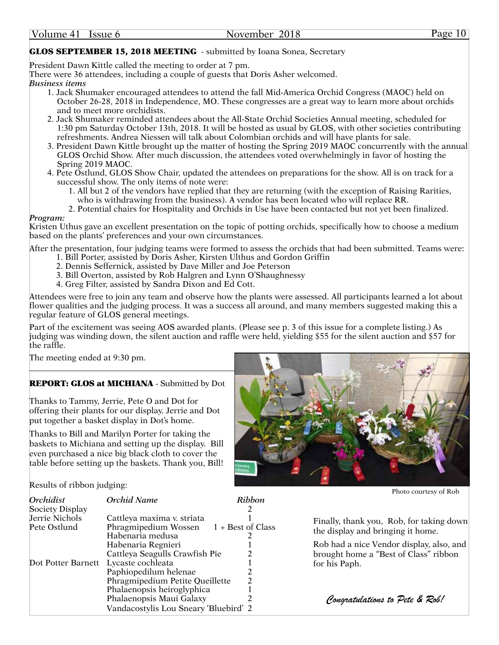## GLOS SEPTEMBER 15, 2018 MEETING - submitted by Ioana Sonea, Secretary

President Dawn Kittle called the meeting to order at 7 pm.

There were 36 attendees, including a couple of guests that Doris Asher welcomed.

*Business items*

- 1. Jack Shumaker encouraged attendees to attend the fall Mid-America Orchid Congress (MAOC) held on October 26-28, 2018 in Independence, MO. These congresses are a great way to learn more about orchids and to meet more orchidists.
- 2. Jack Shumaker reminded attendees about the All-State Orchid Societies Annual meeting, scheduled for 1:30 pm Saturday October 13th, 2018. It will be hosted as usual by GLOS, with other societies contributing refreshments. Andrea Niessen will talk about Colombian orchids and will have plants for sale.
- 3. President Dawn Kittle brought up the matter of hosting the Spring 2019 MAOC concurrently with the annual GLOS Orchid Show. After much discussion, the attendees voted overwhelmingly in favor of hosting the Spring 2019 MAOC.
- 4. Pete Ostlund, GLOS Show Chair, updated the attendees on preparations for the show. All is on track for a successful show. The only items of note were:
	- 1. All but 2 of the vendors have replied that they are returning (with the exception of Raising Rarities, who is withdrawing from the business). A vendor has been located who will replace RR.
	- 2. Potential chairs for Hospitality and Orchids in Use have been contacted but not yet been finalized.

## *Program:*

Kristen Uthus gave an excellent presentation on the topic of potting orchids, specifically how to choose a medium based on the plants' preferences and your own circumstances.

After the presentation, four judging teams were formed to assess the orchids that had been submitted. Teams were:

- 1. Bill Porter, assisted by Doris Asher, Kirsten Ulthus and Gordon Griffin
- 2. Dennis Seffernick, assisted by Dave Miller and Joe Peterson
- 3. Bill Overton, assisted by Rob Halgren and Lynn O'Shaughnessy
- 4. Greg Filter, assisted by Sandra Dixon and Ed Cott.

Attendees were free to join any team and observe how the plants were assessed. All participants learned a lot about flower qualities and the judging process. It was a success all around, and many members suggested making this a regular feature of GLOS general meetings.

Part of the excitement was seeing AOS awarded plants. (Please see p. 3 of this issue for a complete listing.) As judging was winding down, the silent auction and raffle were held, yielding \$55 for the silent auction and \$57 for the raffle.

The meeting ended at 9:30 pm.

## REPORT: GLOS at MICHIANA - Submitted by Dot

Thanks to Tammy, Jerrie, Pete O and Dot for offering their plants for our display. Jerrie and Dot put together a basket display in Dot's home.

Thanks to Bill and Marilyn Porter for taking the baskets to Michiana and setting up the display. Bill even purchased a nice big black cloth to cover the table before setting up the baskets. Thank you, Bill!



Results of ribbon judging:

|                    |                                       |                   | Photo courtesy of Rob                    |
|--------------------|---------------------------------------|-------------------|------------------------------------------|
| Orchidist          | Orchid Name                           | Ribbon            |                                          |
| Society Display    |                                       |                   |                                          |
| Jerrie Nichols     | Cattleya maxima v. striata            |                   | Finally, thank you, Rob, for taking down |
| Pete Ostlund       | Phragmipedium Wossen                  | 1 + Best of Class | the display and bringing it home.        |
|                    | Habenaria medusa                      |                   |                                          |
|                    | Habenaria Regnieri                    |                   | Rob had a nice Vendor display, also, and |
|                    | Cattleya Seagulls Crawfish Pie        |                   | brought home a "Best of Class" ribbon    |
| Dot Potter Barnett | Lycaste cochleata                     |                   | for his Paph.                            |
|                    | Paphiopedilum helenae                 |                   |                                          |
|                    | Phragmipedium Petite Queillette       |                   |                                          |
|                    | Phalaenopsis heiroglyphica            |                   |                                          |
|                    | Phalaenopsis Maui Galaxy              |                   | Congratulations to Pete & Rob!           |
|                    | Vandacostylis Lou Sneary 'Bluebird' 2 |                   |                                          |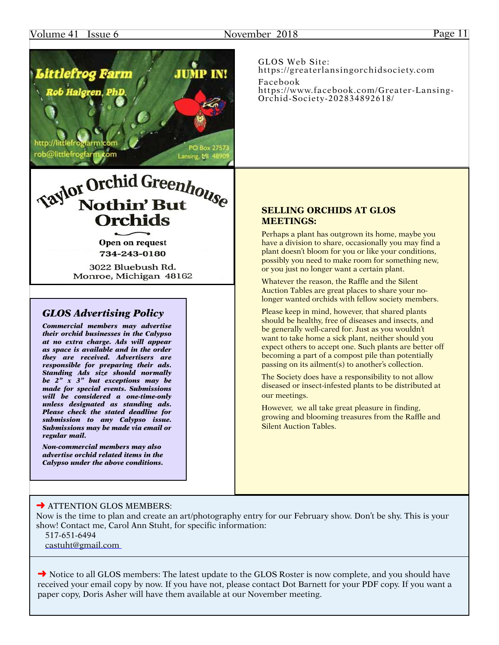## Volume 41 Issue 6 November 2018 Page 11



*be 2" x 3" but exceptions may be made for special events. Submissions will be considered a one-time-only unless designated as standing ads. Please check the stated deadline for submission to any Calypso issue. Submissions may be made via email or regular mail.*

*Non-commercial members may also advertise orchid related items in the Calypso under the above conditions.* GLOS Web Site: [https://greaterlansingorchidsociety.com](http://greaterlansingorchidsociety.com) Facebook [https://www.facebook.com/Greater-](https://www.facebook.com/Greater)Lansing-Orchid-Society-202834892618/

## **SELLING ORCHIDS AT GLOS MEETINGS:**

Perhaps a plant has outgrown its home, maybe you have a division to share, occasionally you may find a plant doesn't bloom for you or like your conditions, possibly you need to make room for something new, or you just no longer want a certain plant.

Whatever the reason, the Raffle and the Silent Auction Tables are great places to share your nolonger wanted orchids with fellow society members.

Please keep in mind, however, that shared plants should be healthy, free of diseases and insects, and be generally well-cared for. Just as you wouldn't want to take home a sick plant, neither should you expect others to accept one. Such plants are better off becoming a part of a compost pile than potentially passing on its ailment(s) to another's collection.

The Society does have a responsibility to not allow diseased or insect-infested plants to be distributed at our meetings.

However, we all take great pleasure in finding, growing and blooming treasures from the Raffle and Silent Auction Tables.

## **→ ATTENTION GLOS MEMBERS:**

Now is the time to plan and create an art/photography entry for our February show. Don't be shy. This is your show! Contact me, Carol Ann Stuht, for specific information:

517-651-6494

[castuht@gmail.com](mailto:castuht@gmail.com)

**→** Notice to all GLOS members: The latest update to the GLOS Roster is now complete, and you should have received your email copy by now. If you have not, please contact Dot Barnett for your PDF copy. If you want a paper copy, Doris Asher will have them available at our November meeting.